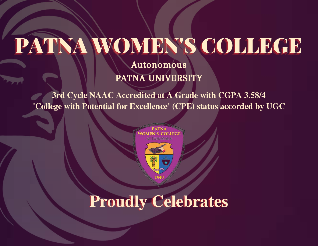# PATNA WOMEN'S COLLEGE

Autonomous PATNA UNIVERSITY

**3rd Cycle NAAC Accredited at A Grade with CGPA 3.58/4 'College with Potential for Excellence' (CPE) status accorded by UGC**



## **Proudly Celebrates**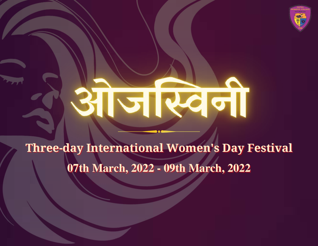

# 31 जास्वना

**Three-day International Women's Day Festival** 07th March, 2022 - 09th March, 2022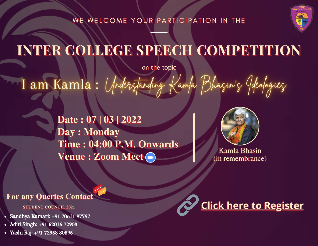WE WELCOME YOUR PARTICIPATION IN THE



## INTER COLLEGE SPEECH COMPETITION

on the topic

I am Kamla: Understanding Kamla Bhasin's Jdeologies

Date: 07 | 03 | 2022 **Day: Monday** Time: 04:00 P.M. Onwards Venue: Zoom Meet



Kamla Bhasin (in remembrance)

#### **For any Queries Contact**

#### **STUDENT COUNCIL 2021**

- Sandhya Kumari: +91 70611 97797
- Aditi Singh: +91 62016 72903
- · Yashi Raj: +91 72958 80595

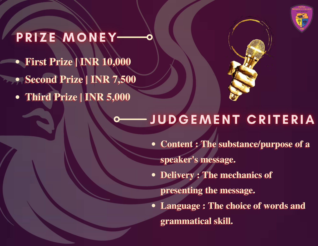

### PRIZE MONEY-

- **First Prize | INR 10,000**
- **Second Prize | INR 7,500**
- **Third Prize | INR 5,000**



### JUDGEMENT CRITERIA

- **Content: The substance/purpose of a** speaker's message.
- **Delivery : The mechanics of** 
	- **presenting the message.**
- **Language: The choice of words and** grammatical skill.